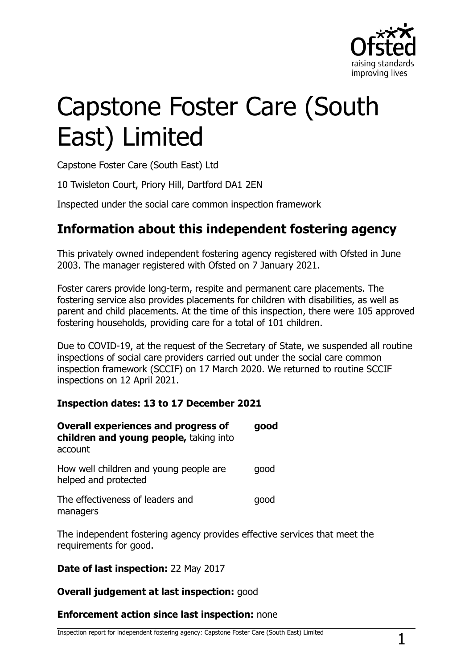

# Capstone Foster Care (South East) Limited

Capstone Foster Care (South East) Ltd

10 Twisleton Court, Priory Hill, Dartford DA1 2EN

Inspected under the social care common inspection framework

## **Information about this independent fostering agency**

This privately owned independent fostering agency registered with Ofsted in June 2003. The manager registered with Ofsted on 7 January 2021.

Foster carers provide long-term, respite and permanent care placements. The fostering service also provides placements for children with disabilities, as well as parent and child placements. At the time of this inspection, there were 105 approved fostering households, providing care for a total of 101 children.

Due to COVID-19, at the request of the Secretary of State, we suspended all routine inspections of social care providers carried out under the social care common inspection framework (SCCIF) on 17 March 2020. We returned to routine SCCIF inspections on 12 April 2021.

#### **Inspection dates: 13 to 17 December 2021**

| <b>Overall experiences and progress of</b><br>children and young people, taking into<br>account | good |
|-------------------------------------------------------------------------------------------------|------|
| How well children and young people are<br>helped and protected                                  | qood |
| The effectiveness of leaders and<br>managers                                                    | qood |

The independent fostering agency provides effective services that meet the requirements for good.

#### **Date of last inspection:** 22 May 2017

#### **Overall judgement at last inspection:** good

#### **Enforcement action since last inspection:** none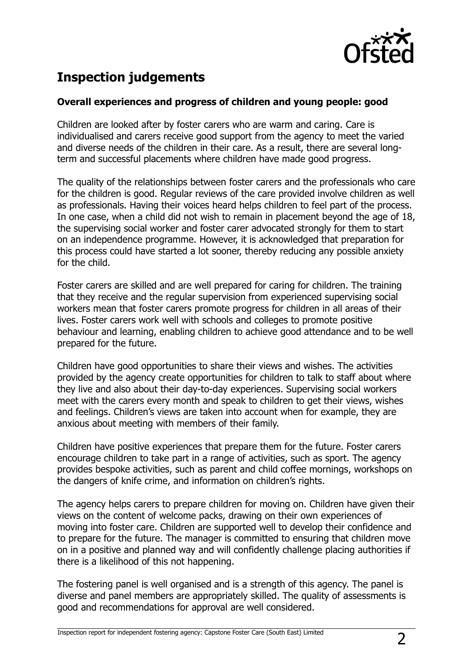

# **Inspection judgements**

#### **Overall experiences and progress of children and young people: good**

Children are looked after by foster carers who are warm and caring. Care is individualised and carers receive good support from the agency to meet the varied and diverse needs of the children in their care. As a result, there are several longterm and successful placements where children have made good progress.

The quality of the relationships between foster carers and the professionals who care for the children is good. Regular reviews of the care provided involve children as well as professionals. Having their voices heard helps children to feel part of the process. In one case, when a child did not wish to remain in placement beyond the age of 18, the supervising social worker and foster carer advocated strongly for them to start on an independence programme. However, it is acknowledged that preparation for this process could have started a lot sooner, thereby reducing any possible anxiety for the child.

Foster carers are skilled and are well prepared for caring for children. The training that they receive and the regular supervision from experienced supervising social workers mean that foster carers promote progress for children in all areas of their lives. Foster carers work well with schools and colleges to promote positive behaviour and learning, enabling children to achieve good attendance and to be well prepared for the future.

Children have good opportunities to share their views and wishes. The activities provided by the agency create opportunities for children to talk to staff about where they live and also about their day-to-day experiences. Supervising social workers meet with the carers every month and speak to children to get their views, wishes and feelings. Children's views are taken into account when for example, they are anxious about meeting with members of their family.

Children have positive experiences that prepare them for the future. Foster carers encourage children to take part in a range of activities, such as sport. The agency provides bespoke activities, such as parent and child coffee mornings, workshops on the dangers of knife crime, and information on children's rights.

The agency helps carers to prepare children for moving on. Children have given their views on the content of welcome packs, drawing on their own experiences of moving into foster care. Children are supported well to develop their confidence and to prepare for the future. The manager is committed to ensuring that children move on in a positive and planned way and will confidently challenge placing authorities if there is a likelihood of this not happening.

The fostering panel is well organised and is a strength of this agency. The panel is diverse and panel members are appropriately skilled. The quality of assessments is good and recommendations for approval are well considered.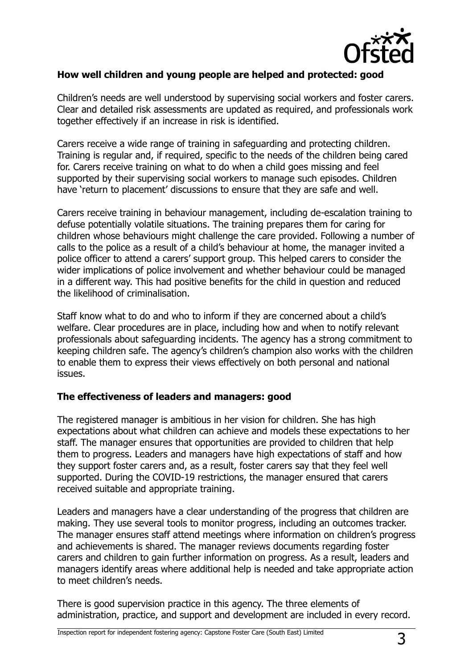

#### **How well children and young people are helped and protected: good**

Children's needs are well understood by supervising social workers and foster carers. Clear and detailed risk assessments are updated as required, and professionals work together effectively if an increase in risk is identified.

Carers receive a wide range of training in safeguarding and protecting children. Training is regular and, if required, specific to the needs of the children being cared for. Carers receive training on what to do when a child goes missing and feel supported by their supervising social workers to manage such episodes. Children have 'return to placement' discussions to ensure that they are safe and well.

Carers receive training in behaviour management, including de-escalation training to defuse potentially volatile situations. The training prepares them for caring for children whose behaviours might challenge the care provided. Following a number of calls to the police as a result of a child's behaviour at home, the manager invited a police officer to attend a carers' support group. This helped carers to consider the wider implications of police involvement and whether behaviour could be managed in a different way. This had positive benefits for the child in question and reduced the likelihood of criminalisation.

Staff know what to do and who to inform if they are concerned about a child's welfare. Clear procedures are in place, including how and when to notify relevant professionals about safeguarding incidents. The agency has a strong commitment to keeping children safe. The agency's children's champion also works with the children to enable them to express their views effectively on both personal and national issues.

#### **The effectiveness of leaders and managers: good**

The registered manager is ambitious in her vision for children. She has high expectations about what children can achieve and models these expectations to her staff. The manager ensures that opportunities are provided to children that help them to progress. Leaders and managers have high expectations of staff and how they support foster carers and, as a result, foster carers say that they feel well supported. During the COVID-19 restrictions, the manager ensured that carers received suitable and appropriate training.

Leaders and managers have a clear understanding of the progress that children are making. They use several tools to monitor progress, including an outcomes tracker. The manager ensures staff attend meetings where information on children's progress and achievements is shared. The manager reviews documents regarding foster carers and children to gain further information on progress. As a result, leaders and managers identify areas where additional help is needed and take appropriate action to meet children's needs.

There is good supervision practice in this agency. The three elements of administration, practice, and support and development are included in every record.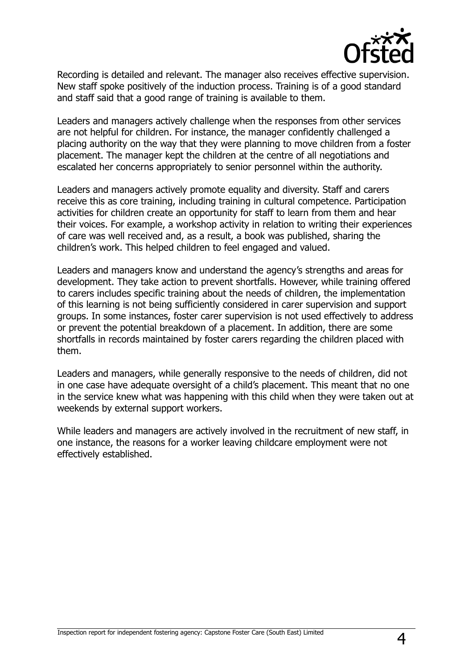

Recording is detailed and relevant. The manager also receives effective supervision. New staff spoke positively of the induction process. Training is of a good standard and staff said that a good range of training is available to them.

Leaders and managers actively challenge when the responses from other services are not helpful for children. For instance, the manager confidently challenged a placing authority on the way that they were planning to move children from a foster placement. The manager kept the children at the centre of all negotiations and escalated her concerns appropriately to senior personnel within the authority.

Leaders and managers actively promote equality and diversity. Staff and carers receive this as core training, including training in cultural competence. Participation activities for children create an opportunity for staff to learn from them and hear their voices. For example, a workshop activity in relation to writing their experiences of care was well received and, as a result, a book was published, sharing the children's work. This helped children to feel engaged and valued.

Leaders and managers know and understand the agency's strengths and areas for development. They take action to prevent shortfalls. However, while training offered to carers includes specific training about the needs of children, the implementation of this learning is not being sufficiently considered in carer supervision and support groups. In some instances, foster carer supervision is not used effectively to address or prevent the potential breakdown of a placement. In addition, there are some shortfalls in records maintained by foster carers regarding the children placed with them.

Leaders and managers, while generally responsive to the needs of children, did not in one case have adequate oversight of a child's placement. This meant that no one in the service knew what was happening with this child when they were taken out at weekends by external support workers.

While leaders and managers are actively involved in the recruitment of new staff, in one instance, the reasons for a worker leaving childcare employment were not effectively established.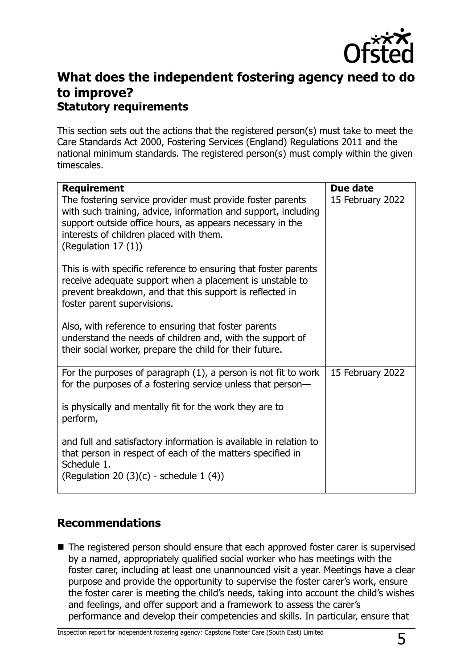

## **What does the independent fostering agency need to do to improve? Statutory requirements**

This section sets out the actions that the registered person(s) must take to meet the Care Standards Act 2000, Fostering Services (England) Regulations 2011 and the national minimum standards. The registered person(s) must comply within the given timescales.

| <b>Requirement</b>                                                                                                                                                                                                                                          | Due date         |
|-------------------------------------------------------------------------------------------------------------------------------------------------------------------------------------------------------------------------------------------------------------|------------------|
| The fostering service provider must provide foster parents<br>with such training, advice, information and support, including<br>support outside office hours, as appears necessary in the<br>interests of children placed with them.<br>(Regulation 17 (1)) | 15 February 2022 |
| This is with specific reference to ensuring that foster parents<br>receive adequate support when a placement is unstable to<br>prevent breakdown, and that this support is reflected in<br>foster parent supervisions.                                      |                  |
| Also, with reference to ensuring that foster parents<br>understand the needs of children and, with the support of<br>their social worker, prepare the child for their future.                                                                               |                  |
| For the purposes of paragraph $(1)$ , a person is not fit to work<br>for the purposes of a fostering service unless that person-                                                                                                                            | 15 February 2022 |
| is physically and mentally fit for the work they are to<br>perform,                                                                                                                                                                                         |                  |
| and full and satisfactory information is available in relation to<br>that person in respect of each of the matters specified in<br>Schedule 1.<br>(Regulation 20 (3)(c) - schedule $1(4)$ )                                                                 |                  |

### **Recommendations**

■ The registered person should ensure that each approved foster carer is supervised by a named, appropriately qualified social worker who has meetings with the foster carer, including at least one unannounced visit a year. Meetings have a clear purpose and provide the opportunity to supervise the foster carer's work, ensure the foster carer is meeting the child's needs, taking into account the child's wishes and feelings, and offer support and a framework to assess the carer's performance and develop their competencies and skills. In particular, ensure that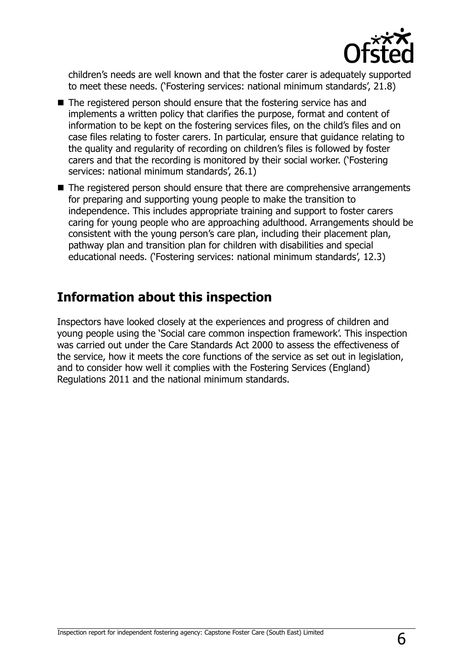

children's needs are well known and that the foster carer is adequately supported to meet these needs. ('Fostering services: national minimum standards', 21.8)

- The registered person should ensure that the fostering service has and implements a written policy that clarifies the purpose, format and content of information to be kept on the fostering services files, on the child's files and on case files relating to foster carers. In particular, ensure that guidance relating to the quality and regularity of recording on children's files is followed by foster carers and that the recording is monitored by their social worker. ('Fostering services: national minimum standards', 26.1)
- The registered person should ensure that there are comprehensive arrangements for preparing and supporting young people to make the transition to independence. This includes appropriate training and support to foster carers caring for young people who are approaching adulthood. Arrangements should be consistent with the young person's care plan, including their placement plan, pathway plan and transition plan for children with disabilities and special educational needs. ('Fostering services: national minimum standards', 12.3)

## **Information about this inspection**

Inspectors have looked closely at the experiences and progress of children and young people using the 'Social care common inspection framework'. This inspection was carried out under the Care Standards Act 2000 to assess the effectiveness of the service, how it meets the core functions of the service as set out in legislation, and to consider how well it complies with the Fostering Services (England) Regulations 2011 and the national minimum standards.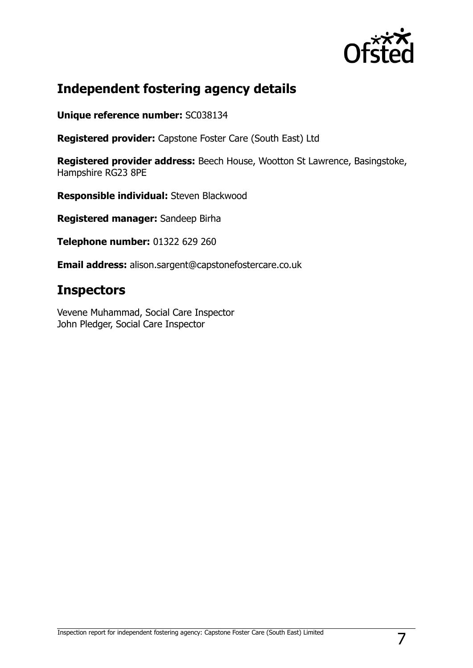

## **Independent fostering agency details**

**Unique reference number:** SC038134

**Registered provider:** Capstone Foster Care (South East) Ltd

**Registered provider address:** Beech House, Wootton St Lawrence, Basingstoke, Hampshire RG23 8PE

**Responsible individual:** Steven Blackwood

**Registered manager:** Sandeep Birha

**Telephone number:** 01322 629 260

**Email address:** alison.sargent@capstonefostercare.co.uk

## **Inspectors**

Vevene Muhammad, Social Care Inspector John Pledger, Social Care Inspector